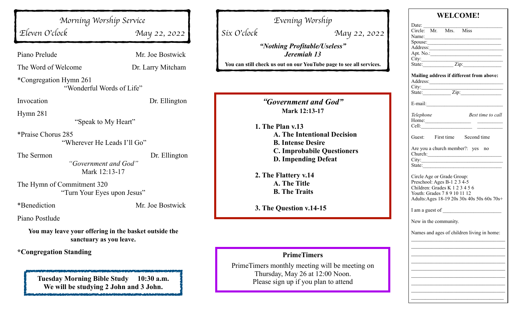|                                                    | Evening Worship                                                                                                                                                                                                                                                                                                                                                             |  |
|----------------------------------------------------|-----------------------------------------------------------------------------------------------------------------------------------------------------------------------------------------------------------------------------------------------------------------------------------------------------------------------------------------------------------------------------|--|
| May 22, 2022                                       | Six O'clock<br>May 22, 2022                                                                                                                                                                                                                                                                                                                                                 |  |
| Mr. Joe Bostwick                                   | "Nothing Profitable/Useless"<br>Jeremiah 13<br>You can still check us out on our YouTube page to see all services.                                                                                                                                                                                                                                                          |  |
|                                                    |                                                                                                                                                                                                                                                                                                                                                                             |  |
| Dr. Ellington<br>Dr. Ellington<br>Mr. Joe Bostwick | "Government and God"<br>Mark 12:13-17<br>1. The Plan v.13<br><b>A. The Intentional Decision</b><br><b>B.</b> Intense Desire<br><b>C. Improbabile Questioners</b><br><b>D. Impending Defeat</b><br>2. The Flattery v.14<br>A. The Title<br><b>B. The Traits</b><br>3. The Question v.14-15                                                                                   |  |
|                                                    |                                                                                                                                                                                                                                                                                                                                                                             |  |
|                                                    |                                                                                                                                                                                                                                                                                                                                                                             |  |
| $10:30$ a.m.                                       | <b>PrimeTimers</b><br>PrimeTimers monthly meeting will be meeting on<br>Thursday, May 26 at 12:00 Noon.<br>Please sign up if you plan to attend                                                                                                                                                                                                                             |  |
|                                                    | Morning Worship Service<br>Dr. Larry Mitcham<br>"Wonderful Words of Life"<br>"Speak to My Heart"<br>"Wherever He Leads I'll Go"<br>"Government and God"<br>Mark 12:13-17<br>"Turn Your Eyes upon Jesus"<br>You may leave your offering in the basket outside the<br>sanctuary as you leave.<br><b>Tuesday Morning Bible Study</b><br>We will be studying 2 John and 3 John. |  |

| <b>WELCOME!</b>                                |  |  |
|------------------------------------------------|--|--|
| Date: Circle: Mr. Mrs. Miss                    |  |  |
|                                                |  |  |
| Name:<br>Spouse:                               |  |  |
| Address:                                       |  |  |
|                                                |  |  |
|                                                |  |  |
|                                                |  |  |
| Mailing address if different from above:       |  |  |
|                                                |  |  |
|                                                |  |  |
| $E$ -mail: $\qquad \qquad$                     |  |  |
|                                                |  |  |
| Best time to call<br>Telephone                 |  |  |
| Home: $\qquad \qquad$<br>Cell: $\qquad \qquad$ |  |  |
|                                                |  |  |
| Guest: First time Second time                  |  |  |
| Are you a church member?: yes no               |  |  |
| Church: 2008                                   |  |  |
| City:                                          |  |  |
|                                                |  |  |
| Circle Age or Grade Group:                     |  |  |
| Preschool: Ages B-1 2 3 4-5                    |  |  |
| Children: Grades K 1 2 3 4 5 6                 |  |  |
| Youth: Grades 7 8 9 10 11 12                   |  |  |
| Adults: Ages 18-19 20s 30s 40s 50s 60s 70s+    |  |  |
|                                                |  |  |
| New in the community.                          |  |  |
| Names and ages of children living in home:     |  |  |
|                                                |  |  |
|                                                |  |  |
|                                                |  |  |
|                                                |  |  |
|                                                |  |  |
|                                                |  |  |
|                                                |  |  |
|                                                |  |  |
|                                                |  |  |
|                                                |  |  |